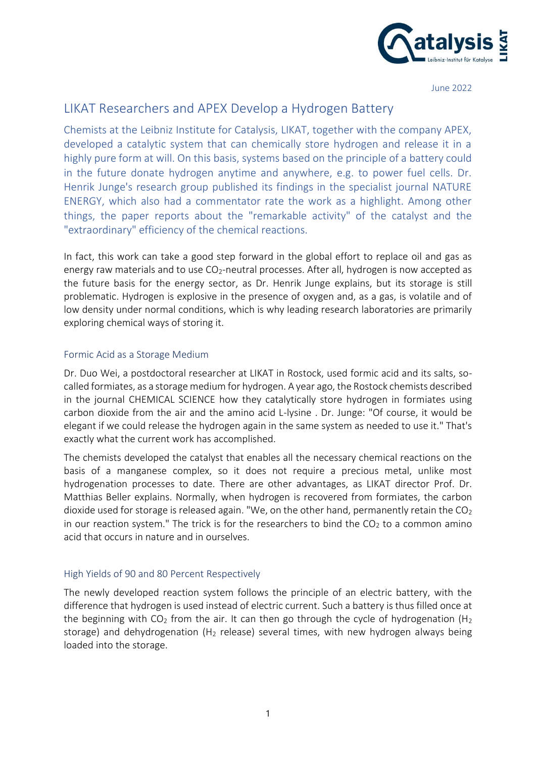

June 2022

# LIKAT Researchers and APEX Develop a Hydrogen Battery

Chemists at the Leibniz Institute for Catalysis, LIKAT, together with the company APEX, developed a catalytic system that can chemically store hydrogen and release it in a highly pure form at will. On this basis, systems based on the principle of a battery could in the future donate hydrogen anytime and anywhere, e.g. to power fuel cells. Dr. Henrik Junge's research group published its findings in the specialist journal NATURE ENERGY, which also had a commentator rate the work as a highlight. Among other things, the paper reports about the "remarkable activity" of the catalyst and the "extraordinary" efficiency of the chemical reactions.

In fact, this work can take a good step forward in the global effort to replace oil and gas as energy raw materials and to use  $CO<sub>2</sub>$ -neutral processes. After all, hydrogen is now accepted as the future basis for the energy sector, as Dr. Henrik Junge explains, but its storage is still problematic. Hydrogen is explosive in the presence of oxygen and, as a gas, is volatile and of low density under normal conditions, which is why leading research laboratories are primarily exploring chemical ways of storing it.

## Formic Acid as a Storage Medium

Dr. Duo Wei, a postdoctoral researcher at LIKAT in Rostock, used formic acid and its salts, socalled formiates, as a storage medium for hydrogen. A year ago, the Rostock chemists described in the journal CHEMICAL SCIENCE how they catalytically store hydrogen in formiates using carbon dioxide from the air and the amino acid L-lysine . Dr. Junge: "Of course, it would be elegant if we could release the hydrogen again in the same system as needed to use it." That's exactly what the current work has accomplished.

The chemists developed the catalyst that enables all the necessary chemical reactions on the basis of a manganese complex, so it does not require a precious metal, unlike most hydrogenation processes to date. There are other advantages, as LIKAT director Prof. Dr. Matthias Beller explains. Normally, when hydrogen is recovered from formiates, the carbon dioxide used for storage is released again. "We, on the other hand, permanently retain the  $CO<sub>2</sub>$ in our reaction system." The trick is for the researchers to bind the  $CO<sub>2</sub>$  to a common amino acid that occurs in nature and in ourselves.

### High Yields of 90 and 80 Percent Respectively

The newly developed reaction system follows the principle of an electric battery, with the difference that hydrogen is used instead of electric current. Such a battery is thus filled once at the beginning with  $CO<sub>2</sub>$  from the air. It can then go through the cycle of hydrogenation (H<sub>2</sub>) storage) and dehydrogenation ( $H_2$  release) several times, with new hydrogen always being loaded into the storage.